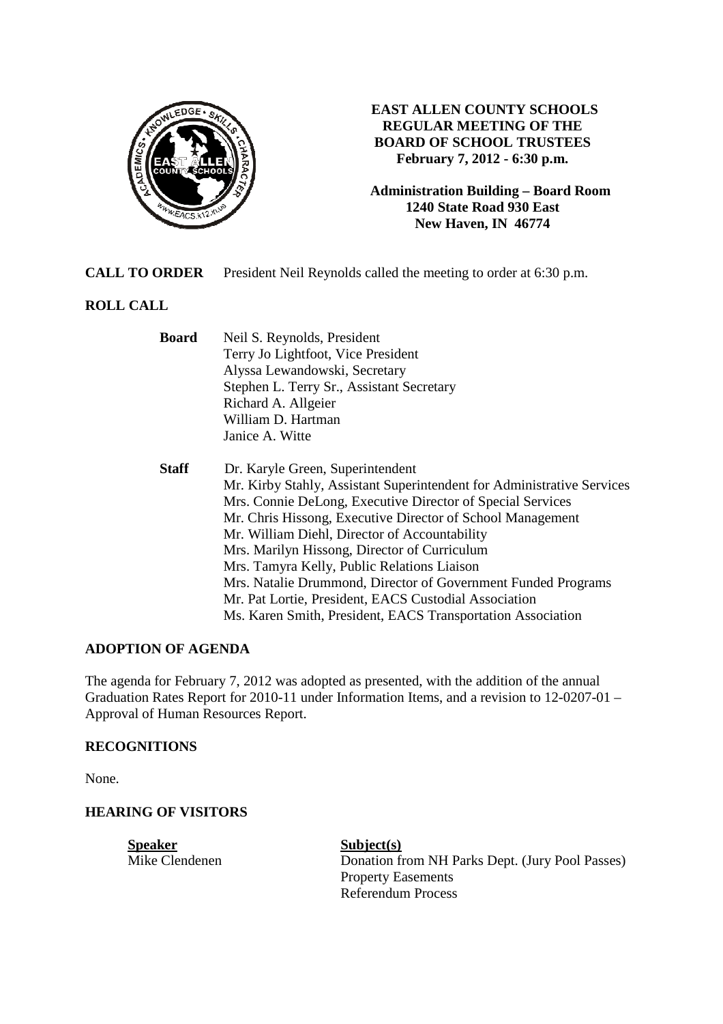

**EAST ALLEN COUNTY SCHOOLS REGULAR MEETING OF THE BOARD OF SCHOOL TRUSTEES February 7, 2012 - 6:30 p.m.** 

**Administration Building – Board Room 1240 State Road 930 East New Haven, IN 46774**

**CALL TO ORDER** President Neil Reynolds called the meeting to order at 6:30 p.m.

## **ROLL CALL**

| <b>Board</b> | Neil S. Reynolds, President                                            |  |  |
|--------------|------------------------------------------------------------------------|--|--|
|              | Terry Jo Lightfoot, Vice President                                     |  |  |
|              | Alyssa Lewandowski, Secretary                                          |  |  |
|              | Stephen L. Terry Sr., Assistant Secretary                              |  |  |
|              | Richard A. Allgeier                                                    |  |  |
|              | William D. Hartman                                                     |  |  |
|              | Janice A. Witte                                                        |  |  |
| <b>Staff</b> | Dr. Karyle Green, Superintendent                                       |  |  |
|              | Mr. Kirby Stahly, Assistant Superintendent for Administrative Services |  |  |
|              | Mrs. Connie DeLong, Executive Director of Special Services             |  |  |
|              | Mr. Chris Hissong, Executive Director of School Management             |  |  |
|              | Mr. William Diehl, Director of Accountability                          |  |  |
|              | Mrs. Marilyn Hissong, Director of Curriculum                           |  |  |
|              | Mrs. Tamyra Kelly, Public Relations Liaison                            |  |  |
|              | Mrs. Natalie Drummond, Director of Government Funded Programs          |  |  |
|              | Mr. Pat Lortie, President, EACS Custodial Association                  |  |  |
|              | Ms. Karen Smith, President, EACS Transportation Association            |  |  |

### **ADOPTION OF AGENDA**

The agenda for February 7, 2012 was adopted as presented, with the addition of the annual Graduation Rates Report for 2010-11 under Information Items, and a revision to 12-0207-01 – Approval of Human Resources Report.

### **RECOGNITIONS**

None.

### **HEARING OF VISITORS**

**Speaker**<br>
Mike Clendenen<br>
Mike Clendenen<br>
Subject(s)

Donation from NH Parks Dept. (Jury Pool Passes) Property Easements Referendum Process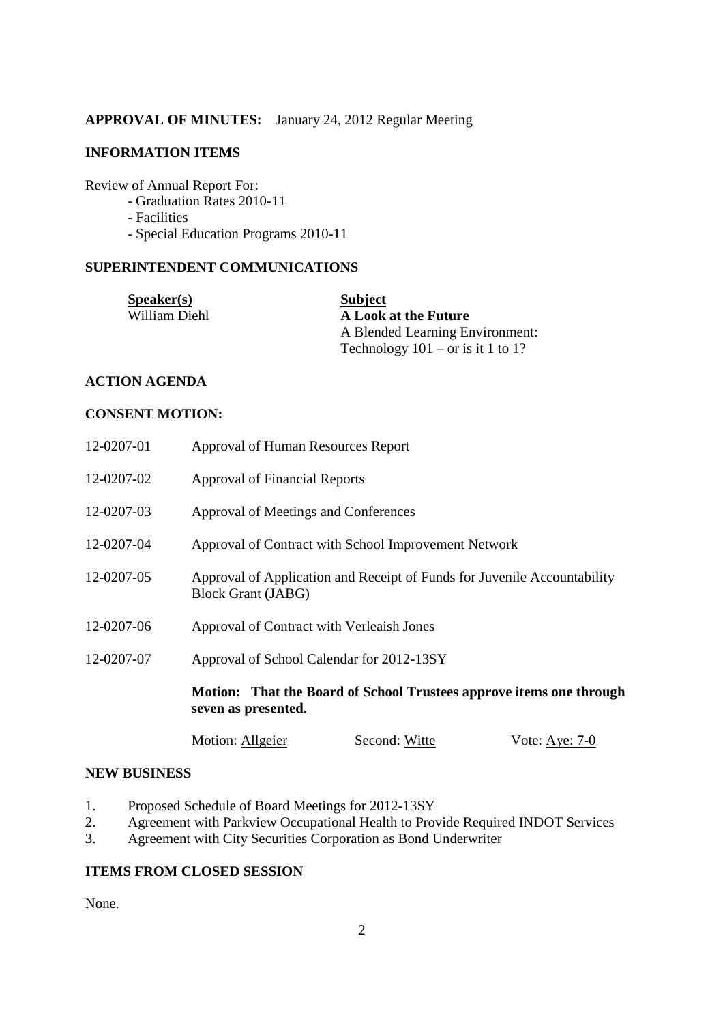### **APPROVAL OF MINUTES:** January 24, 2012 Regular Meeting

### **INFORMATION ITEMS**

Review of Annual Report For:

- Graduation Rates 2010-11
- Facilities
- Special Education Programs 2010-11

### **SUPERINTENDENT COMMUNICATIONS**

| <b>Speaker(s)</b> | <b>Subject</b>                      |
|-------------------|-------------------------------------|
| William Diehl     | A Look at the Future                |
|                   | A Blended Learning Environment:     |
|                   | Technology $101 - or$ is it 1 to 1? |

## **ACTION AGENDA**

### **CONSENT MOTION:**

| 12-0207-01 | Approval of Human Resources Report                                                                                                      |               |                  |  |
|------------|-----------------------------------------------------------------------------------------------------------------------------------------|---------------|------------------|--|
| 12-0207-02 | <b>Approval of Financial Reports</b>                                                                                                    |               |                  |  |
| 12-0207-03 | Approval of Meetings and Conferences                                                                                                    |               |                  |  |
| 12-0207-04 | Approval of Contract with School Improvement Network                                                                                    |               |                  |  |
| 12-0207-05 | Approval of Application and Receipt of Funds for Juvenile Accountability<br><b>Block Grant (JABG)</b>                                   |               |                  |  |
| 12-0207-06 | Approval of Contract with Verleaish Jones                                                                                               |               |                  |  |
| 12-0207-07 | Approval of School Calendar for 2012-13SY<br>Motion: That the Board of School Trustees approve items one through<br>seven as presented. |               |                  |  |
|            |                                                                                                                                         |               |                  |  |
|            | Motion: Allgeier                                                                                                                        | Second: Witte | Vote: Aye: $7-0$ |  |

#### **NEW BUSINESS**

- 1. Proposed Schedule of Board Meetings for 2012-13SY
- 2. Agreement with Parkview Occupational Health to Provide Required INDOT Services
- 3. Agreement with City Securities Corporation as Bond Underwriter

# **ITEMS FROM CLOSED SESSION**

None.